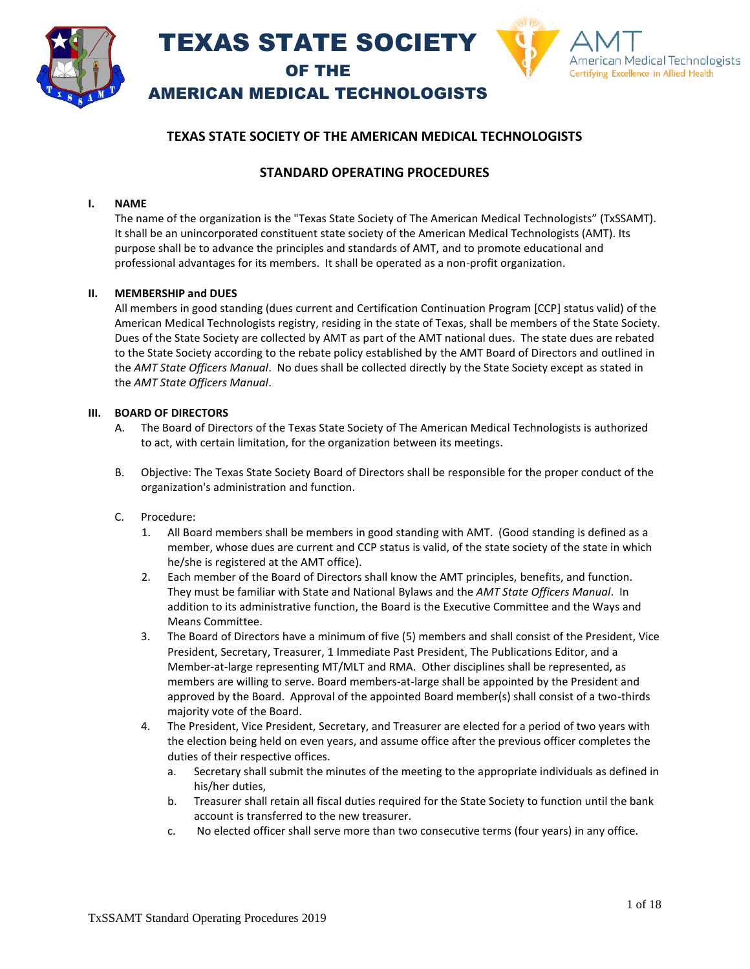



AMERICAN MEDICAL TECHNOLOGISTS

### **TEXAS STATE SOCIETY OF THE AMERICAN MEDICAL TECHNOLOGISTS**

### **STANDARD OPERATING PROCEDURES**

#### **I. NAME**

The name of the organization is the "Texas State Society of The American Medical Technologists" (TxSSAMT). It shall be an unincorporated constituent state society of the American Medical Technologists (AMT). Its purpose shall be to advance the principles and standards of AMT, and to promote educational and professional advantages for its members. It shall be operated as a non-profit organization.

#### **II. MEMBERSHIP and DUES**

All members in good standing (dues current and Certification Continuation Program [CCP] status valid) of the American Medical Technologists registry, residing in the state of Texas, shall be members of the State Society. Dues of the State Society are collected by AMT as part of the AMT national dues. The state dues are rebated to the State Society according to the rebate policy established by the AMT Board of Directors and outlined in the *AMT State Officers Manual*. No dues shall be collected directly by the State Society except as stated in the *AMT State Officers Manual*.

#### **III. BOARD OF DIRECTORS**

- A. The Board of Directors of the Texas State Society of The American Medical Technologists is authorized to act, with certain limitation, for the organization between its meetings.
- B. Objective: The Texas State Society Board of Directors shall be responsible for the proper conduct of the organization's administration and function.
- C. Procedure:
	- 1. All Board members shall be members in good standing with AMT. (Good standing is defined as a member, whose dues are current and CCP status is valid, of the state society of the state in which he/she is registered at the AMT office).
	- 2. Each member of the Board of Directors shall know the AMT principles, benefits, and function. They must be familiar with State and National Bylaws and the *AMT State Officers Manual*. In addition to its administrative function, the Board is the Executive Committee and the Ways and Means Committee.
	- 3. The Board of Directors have a minimum of five (5) members and shall consist of the President, Vice President, Secretary, Treasurer, 1 Immediate Past President, The Publications Editor, and a Member-at-large representing MT/MLT and RMA. Other disciplines shall be represented, as members are willing to serve. Board members-at-large shall be appointed by the President and approved by the Board. Approval of the appointed Board member(s) shall consist of a two-thirds majority vote of the Board.
	- 4. The President, Vice President, Secretary, and Treasurer are elected for a period of two years with the election being held on even years, and assume office after the previous officer completes the duties of their respective offices.
		- a. Secretary shall submit the minutes of the meeting to the appropriate individuals as defined in his/her duties,
		- b. Treasurer shall retain all fiscal duties required for the State Society to function until the bank account is transferred to the new treasurer.
		- c. No elected officer shall serve more than two consecutive terms (four years) in any office.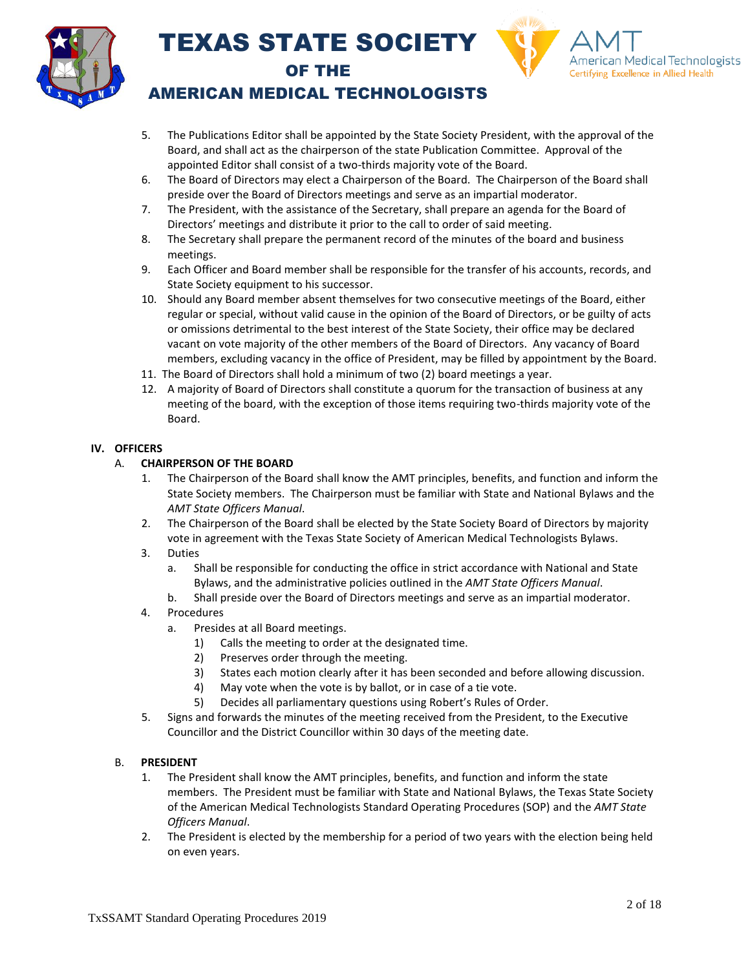



### AMERICAN MEDICAL TECHNOLOGISTS

- 5. The Publications Editor shall be appointed by the State Society President, with the approval of the Board, and shall act as the chairperson of the state Publication Committee. Approval of the appointed Editor shall consist of a two-thirds majority vote of the Board.
- 6. The Board of Directors may elect a Chairperson of the Board. The Chairperson of the Board shall preside over the Board of Directors meetings and serve as an impartial moderator.
- 7. The President, with the assistance of the Secretary, shall prepare an agenda for the Board of Directors' meetings and distribute it prior to the call to order of said meeting.
- 8. The Secretary shall prepare the permanent record of the minutes of the board and business meetings.
- 9. Each Officer and Board member shall be responsible for the transfer of his accounts, records, and State Society equipment to his successor.
- 10. Should any Board member absent themselves for two consecutive meetings of the Board, either regular or special, without valid cause in the opinion of the Board of Directors, or be guilty of acts or omissions detrimental to the best interest of the State Society, their office may be declared vacant on vote majority of the other members of the Board of Directors. Any vacancy of Board members, excluding vacancy in the office of President, may be filled by appointment by the Board.
- 11. The Board of Directors shall hold a minimum of two (2) board meetings a year.
- 12. A majority of Board of Directors shall constitute a quorum for the transaction of business at any meeting of the board, with the exception of those items requiring two-thirds majority vote of the Board.

### **IV. OFFICERS**

### A. **CHAIRPERSON OF THE BOARD**

- 1. The Chairperson of the Board shall know the AMT principles, benefits, and function and inform the State Society members. The Chairperson must be familiar with State and National Bylaws and the *AMT State Officers Manual*.
- 2. The Chairperson of the Board shall be elected by the State Society Board of Directors by majority vote in agreement with the Texas State Society of American Medical Technologists Bylaws.
- 3. Duties
	- a. Shall be responsible for conducting the office in strict accordance with National and State Bylaws, and the administrative policies outlined in the *AMT State Officers Manual*.
	- b. Shall preside over the Board of Directors meetings and serve as an impartial moderator.
- 4. Procedures
	- a. Presides at all Board meetings.
		- 1) Calls the meeting to order at the designated time.
		- 2) Preserves order through the meeting.
		- 3) States each motion clearly after it has been seconded and before allowing discussion.
		- 4) May vote when the vote is by ballot, or in case of a tie vote.
		- 5) Decides all parliamentary questions using Robert's Rules of Order.
- 5. Signs and forwards the minutes of the meeting received from the President, to the Executive Councillor and the District Councillor within 30 days of the meeting date.

### B. **PRESIDENT**

- 1. The President shall know the AMT principles, benefits, and function and inform the state members. The President must be familiar with State and National Bylaws, the Texas State Society of the American Medical Technologists Standard Operating Procedures (SOP) and the *AMT State Officers Manual*.
- 2. The President is elected by the membership for a period of two years with the election being held on even years.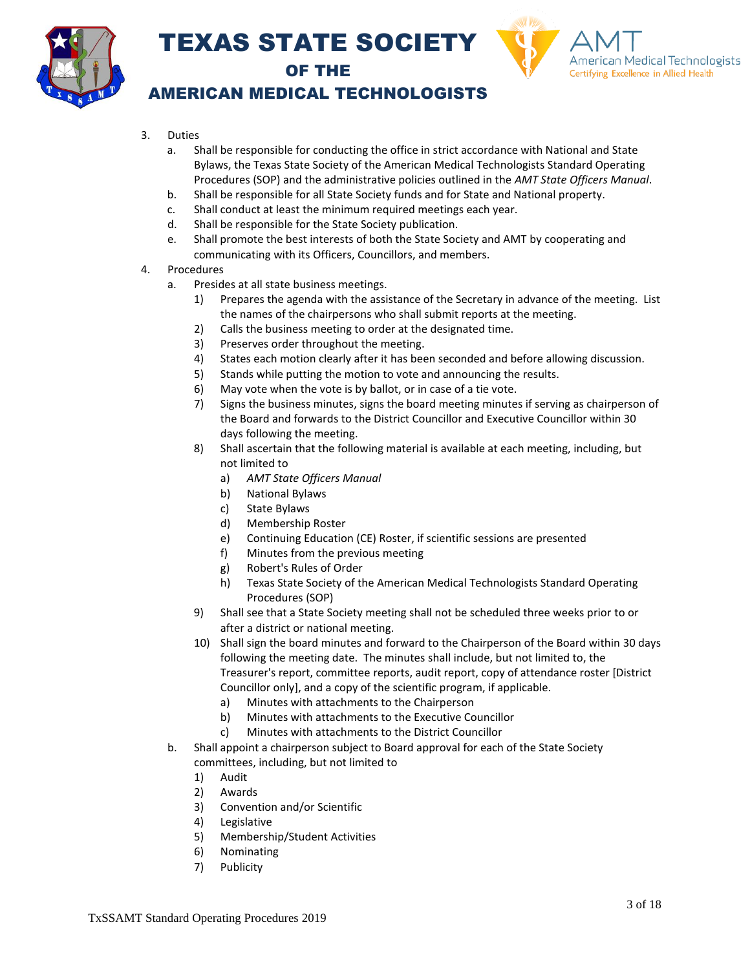



### AMERICAN MEDICAL TECHNOLOGISTS

- 3. Duties
	- a. Shall be responsible for conducting the office in strict accordance with National and State Bylaws, the Texas State Society of the American Medical Technologists Standard Operating Procedures (SOP) and the administrative policies outlined in the *AMT State Officers Manual*.
	- b. Shall be responsible for all State Society funds and for State and National property.
	- c. Shall conduct at least the minimum required meetings each year.
	- d. Shall be responsible for the State Society publication.
	- e. Shall promote the best interests of both the State Society and AMT by cooperating and communicating with its Officers, Councillors, and members.
- 4. Procedures
	- a. Presides at all state business meetings.
		- 1) Prepares the agenda with the assistance of the Secretary in advance of the meeting. List the names of the chairpersons who shall submit reports at the meeting.
		- 2) Calls the business meeting to order at the designated time.
		- 3) Preserves order throughout the meeting.
		- 4) States each motion clearly after it has been seconded and before allowing discussion.
		- 5) Stands while putting the motion to vote and announcing the results.
		- 6) May vote when the vote is by ballot, or in case of a tie vote.
		- 7) Signs the business minutes, signs the board meeting minutes if serving as chairperson of the Board and forwards to the District Councillor and Executive Councillor within 30 days following the meeting.
		- 8) Shall ascertain that the following material is available at each meeting, including, but not limited to
			- a) *AMT State Officers Manual*
			- b) National Bylaws
			- c) State Bylaws
			- d) Membership Roster
			- e) Continuing Education (CE) Roster, if scientific sessions are presented
			- f) Minutes from the previous meeting
			- g) Robert's Rules of Order
			- h) Texas State Society of the American Medical Technologists Standard Operating Procedures (SOP)
		- 9) Shall see that a State Society meeting shall not be scheduled three weeks prior to or after a district or national meeting.
		- 10) Shall sign the board minutes and forward to the Chairperson of the Board within 30 days following the meeting date. The minutes shall include, but not limited to, the Treasurer's report, committee reports, audit report, copy of attendance roster [District Councillor only], and a copy of the scientific program, if applicable.
			- a) Minutes with attachments to the Chairperson
			- b) Minutes with attachments to the Executive Councillor
			- c) Minutes with attachments to the District Councillor
	- b. Shall appoint a chairperson subject to Board approval for each of the State Society committees, including, but not limited to
		- 1) Audit
		- 2) Awards
		- 3) Convention and/or Scientific
		- 4) Legislative
		- 5) Membership/Student Activities
		- 6) Nominating
		- 7) Publicity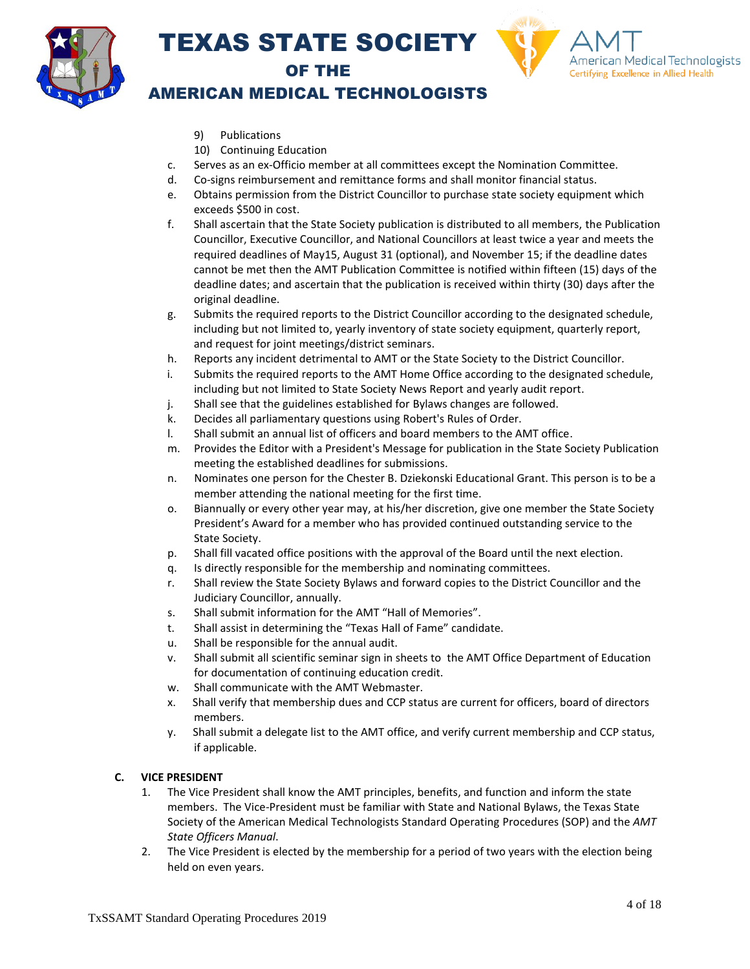



### AMERICAN MEDICAL TECHNOLOGISTS

- 9) Publications
- 10) Continuing Education
- c. Serves as an ex-Officio member at all committees except the Nomination Committee.
- d. Co-signs reimbursement and remittance forms and shall monitor financial status.
- e. Obtains permission from the District Councillor to purchase state society equipment which exceeds \$500 in cost.
- f. Shall ascertain that the State Society publication is distributed to all members, the Publication Councillor, Executive Councillor, and National Councillors at least twice a year and meets the required deadlines of May15, August 31 (optional), and November 15; if the deadline dates cannot be met then the AMT Publication Committee is notified within fifteen (15) days of the deadline dates; and ascertain that the publication is received within thirty (30) days after the original deadline.
- g. Submits the required reports to the District Councillor according to the designated schedule, including but not limited to, yearly inventory of state society equipment, quarterly report, and request for joint meetings/district seminars.
- h. Reports any incident detrimental to AMT or the State Society to the District Councillor.
- i. Submits the required reports to the AMT Home Office according to the designated schedule, including but not limited to State Society News Report and yearly audit report.
- j. Shall see that the guidelines established for Bylaws changes are followed.
- k. Decides all parliamentary questions using Robert's Rules of Order.
- l. Shall submit an annual list of officers and board members to the AMT office.
- m. Provides the Editor with a President's Message for publication in the State Society Publication meeting the established deadlines for submissions.
- n. Nominates one person for the Chester B. Dziekonski Educational Grant. This person is to be a member attending the national meeting for the first time.
- o. Biannually or every other year may, at his/her discretion, give one member the State Society President's Award for a member who has provided continued outstanding service to the State Society.
- p. Shall fill vacated office positions with the approval of the Board until the next election.
- q. Is directly responsible for the membership and nominating committees.
- r. Shall review the State Society Bylaws and forward copies to the District Councillor and the Judiciary Councillor, annually.
- s. Shall submit information for the AMT "Hall of Memories".
- t. Shall assist in determining the "Texas Hall of Fame" candidate.
- u. Shall be responsible for the annual audit.
- v. Shall submit all scientific seminar sign in sheets to the AMT Office Department of Education for documentation of continuing education credit.
- w. Shall communicate with the AMT Webmaster.
- x. Shall verify that membership dues and CCP status are current for officers, board of directors members.
- y. Shall submit a delegate list to the AMT office, and verify current membership and CCP status, if applicable.

#### **C. VICE PRESIDENT**

- 1. The Vice President shall know the AMT principles, benefits, and function and inform the state members. The Vice-President must be familiar with State and National Bylaws, the Texas State Society of the American Medical Technologists Standard Operating Procedures (SOP) and the *AMT State Officers Manual*.
- 2. The Vice President is elected by the membership for a period of two years with the election being held on even years.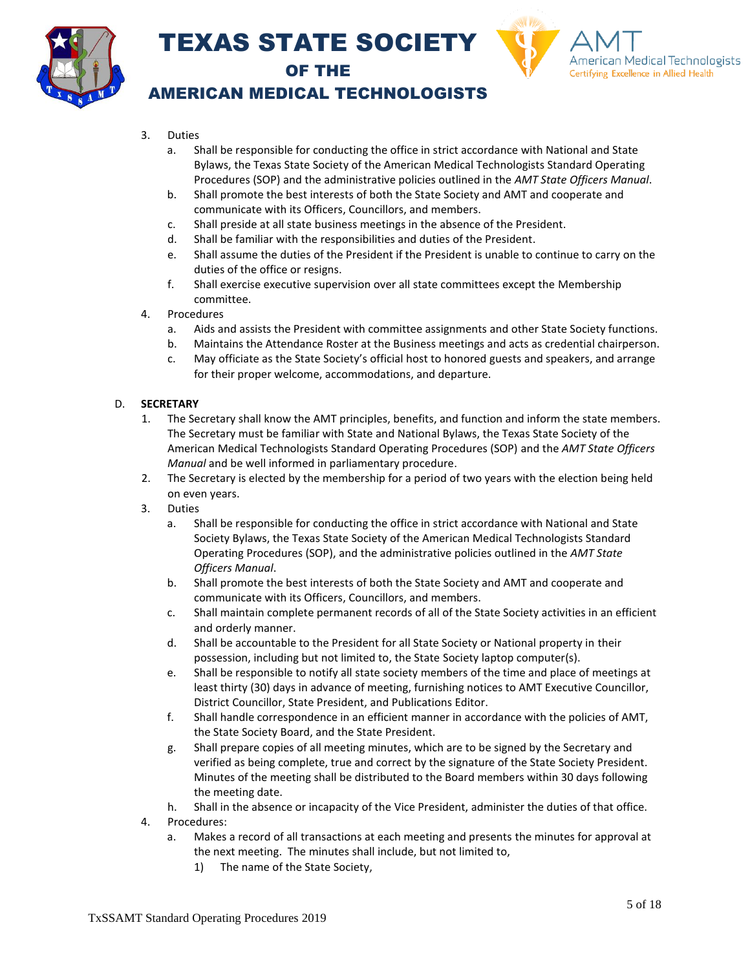



### AMERICAN MEDICAL TECHNOLOGISTS

- 3. Duties
	- a. Shall be responsible for conducting the office in strict accordance with National and State Bylaws, the Texas State Society of the American Medical Technologists Standard Operating Procedures (SOP) and the administrative policies outlined in the *AMT State Officers Manual*.
	- b. Shall promote the best interests of both the State Society and AMT and cooperate and communicate with its Officers, Councillors, and members.
	- c. Shall preside at all state business meetings in the absence of the President.
	- d. Shall be familiar with the responsibilities and duties of the President.
	- e. Shall assume the duties of the President if the President is unable to continue to carry on the duties of the office or resigns.
	- f. Shall exercise executive supervision over all state committees except the Membership committee.
- 4. Procedures
	- a. Aids and assists the President with committee assignments and other State Society functions.
	- b. Maintains the Attendance Roster at the Business meetings and acts as credential chairperson.
	- c. May officiate as the State Society's official host to honored guests and speakers, and arrange for their proper welcome, accommodations, and departure.

### D. **SECRETARY**

- 1. The Secretary shall know the AMT principles, benefits, and function and inform the state members. The Secretary must be familiar with State and National Bylaws, the Texas State Society of the American Medical Technologists Standard Operating Procedures (SOP) and the *AMT State Officers Manual* and be well informed in parliamentary procedure.
- 2. The Secretary is elected by the membership for a period of two years with the election being held on even years.
- 3. Duties
	- a. Shall be responsible for conducting the office in strict accordance with National and State Society Bylaws, the Texas State Society of the American Medical Technologists Standard Operating Procedures (SOP), and the administrative policies outlined in the *AMT State Officers Manual*.
	- b. Shall promote the best interests of both the State Society and AMT and cooperate and communicate with its Officers, Councillors, and members.
	- c. Shall maintain complete permanent records of all of the State Society activities in an efficient and orderly manner.
	- d. Shall be accountable to the President for all State Society or National property in their possession, including but not limited to, the State Society laptop computer(s).
	- e. Shall be responsible to notify all state society members of the time and place of meetings at least thirty (30) days in advance of meeting, furnishing notices to AMT Executive Councillor, District Councillor, State President, and Publications Editor.
	- f. Shall handle correspondence in an efficient manner in accordance with the policies of AMT, the State Society Board, and the State President.
	- g. Shall prepare copies of all meeting minutes, which are to be signed by the Secretary and verified as being complete, true and correct by the signature of the State Society President. Minutes of the meeting shall be distributed to the Board members within 30 days following the meeting date.
	- h. Shall in the absence or incapacity of the Vice President, administer the duties of that office.
- 4. Procedures:
	- a. Makes a record of all transactions at each meeting and presents the minutes for approval at the next meeting. The minutes shall include, but not limited to,
		- 1) The name of the State Society,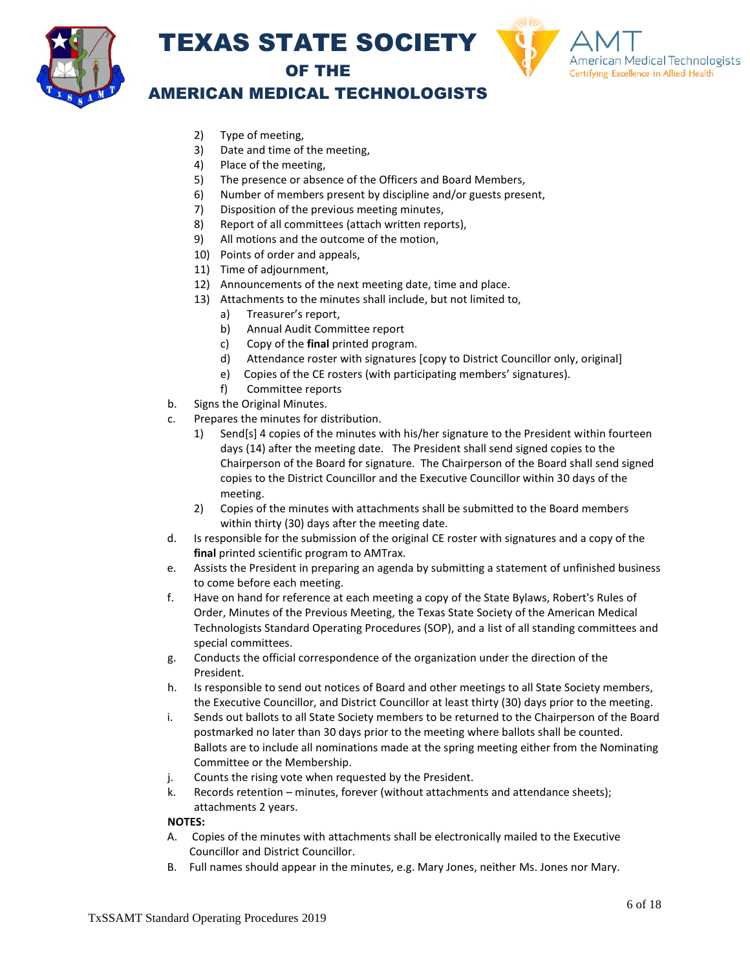





### AMERICAN MEDICAL TECHNOLOGISTS

- 2) Type of meeting,
- 3) Date and time of the meeting,
- 4) Place of the meeting,
- 5) The presence or absence of the Officers and Board Members,
- 6) Number of members present by discipline and/or guests present,
- 7) Disposition of the previous meeting minutes,
- 8) Report of all committees (attach written reports),
- 9) All motions and the outcome of the motion,
- 10) Points of order and appeals,
- 11) Time of adjournment,
- 12) Announcements of the next meeting date, time and place.
- 13) Attachments to the minutes shall include, but not limited to,
	- a) Treasurer's report,
	- b) Annual Audit Committee report
	- c) Copy of the **final** printed program.
	- d) Attendance roster with signatures [copy to District Councillor only, original]
	- e) Copies of the CE rosters (with participating members' signatures).
	- f) Committee reports
- b. Signs the Original Minutes.
- c. Prepares the minutes for distribution.
	- 1) Send[s] 4 copies of the minutes with his/her signature to the President within fourteen days (14) after the meeting date. The President shall send signed copies to the Chairperson of the Board for signature. The Chairperson of the Board shall send signed copies to the District Councillor and the Executive Councillor within 30 days of the meeting.
	- 2) Copies of the minutes with attachments shall be submitted to the Board members within thirty (30) days after the meeting date.
- d. Is responsible for the submission of the original CE roster with signatures and a copy of the **final** printed scientific program to AMTrax.
- e. Assists the President in preparing an agenda by submitting a statement of unfinished business to come before each meeting.
- f. Have on hand for reference at each meeting a copy of the State Bylaws, Robert's Rules of Order, Minutes of the Previous Meeting, the Texas State Society of the American Medical Technologists Standard Operating Procedures (SOP), and a list of all standing committees and special committees.
- g. Conducts the official correspondence of the organization under the direction of the President.
- h. Is responsible to send out notices of Board and other meetings to all State Society members, the Executive Councillor, and District Councillor at least thirty (30) days prior to the meeting.
- i. Sends out ballots to all State Society members to be returned to the Chairperson of the Board postmarked no later than 30 days prior to the meeting where ballots shall be counted. Ballots are to include all nominations made at the spring meeting either from the Nominating Committee or the Membership.
- j. Counts the rising vote when requested by the President.
- k. Records retention minutes, forever (without attachments and attendance sheets); attachments 2 years.

#### **NOTES:**

- A. Copies of the minutes with attachments shall be electronically mailed to the Executive Councillor and District Councillor.
- B. Full names should appear in the minutes, e.g. Mary Jones, neither Ms. Jones nor Mary.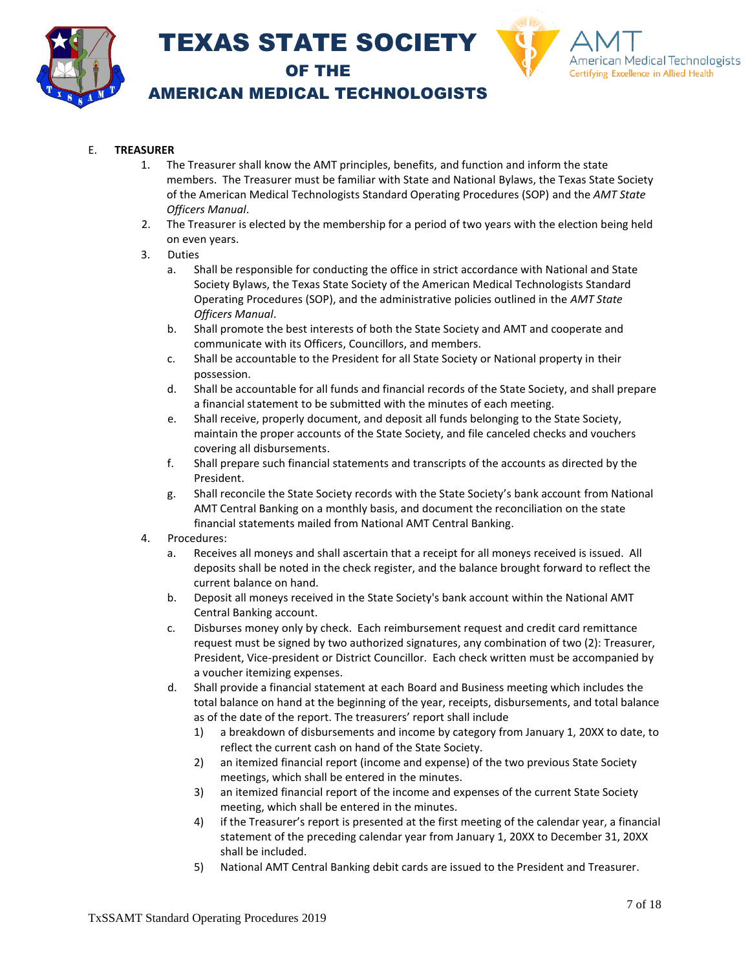



### AMERICAN MEDICAL TECHNOLOGISTS

### E. **TREASURER**

- 1. The Treasurer shall know the AMT principles, benefits, and function and inform the state members. The Treasurer must be familiar with State and National Bylaws, the Texas State Society of the American Medical Technologists Standard Operating Procedures (SOP) and the *AMT State Officers Manual*.
- 2. The Treasurer is elected by the membership for a period of two years with the election being held on even years.
- 3. Duties
	- a. Shall be responsible for conducting the office in strict accordance with National and State Society Bylaws, the Texas State Society of the American Medical Technologists Standard Operating Procedures (SOP), and the administrative policies outlined in the *AMT State Officers Manual*.
	- b. Shall promote the best interests of both the State Society and AMT and cooperate and communicate with its Officers, Councillors, and members.
	- c. Shall be accountable to the President for all State Society or National property in their possession.
	- d. Shall be accountable for all funds and financial records of the State Society, and shall prepare a financial statement to be submitted with the minutes of each meeting.
	- e. Shall receive, properly document, and deposit all funds belonging to the State Society, maintain the proper accounts of the State Society, and file canceled checks and vouchers covering all disbursements.
	- f. Shall prepare such financial statements and transcripts of the accounts as directed by the President.
	- g. Shall reconcile the State Society records with the State Society's bank account from National AMT Central Banking on a monthly basis, and document the reconciliation on the state financial statements mailed from National AMT Central Banking.
- 4. Procedures:
	- a. Receives all moneys and shall ascertain that a receipt for all moneys received is issued. All deposits shall be noted in the check register, and the balance brought forward to reflect the current balance on hand.
	- b. Deposit all moneys received in the State Society's bank account within the National AMT Central Banking account.
	- c. Disburses money only by check. Each reimbursement request and credit card remittance request must be signed by two authorized signatures, any combination of two (2): Treasurer, President, Vice-president or District Councillor. Each check written must be accompanied by a voucher itemizing expenses.
	- d. Shall provide a financial statement at each Board and Business meeting which includes the total balance on hand at the beginning of the year, receipts, disbursements, and total balance as of the date of the report. The treasurers' report shall include
		- 1) a breakdown of disbursements and income by category from January 1, 20XX to date, to reflect the current cash on hand of the State Society.
		- 2) an itemized financial report (income and expense) of the two previous State Society meetings, which shall be entered in the minutes.
		- 3) an itemized financial report of the income and expenses of the current State Society meeting, which shall be entered in the minutes.
		- 4) if the Treasurer's report is presented at the first meeting of the calendar year, a financial statement of the preceding calendar year from January 1, 20XX to December 31, 20XX shall be included.
		- 5) National AMT Central Banking debit cards are issued to the President and Treasurer.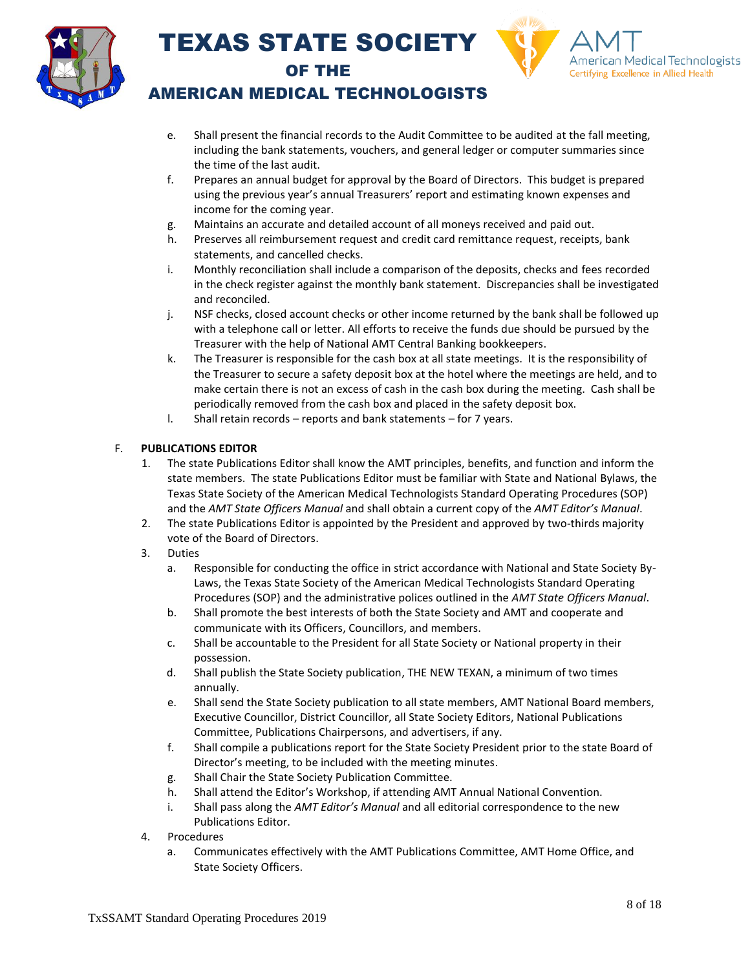



### AMERICAN MEDICAL TECHNOLOGISTS

- e. Shall present the financial records to the Audit Committee to be audited at the fall meeting, including the bank statements, vouchers, and general ledger or computer summaries since the time of the last audit.
- f. Prepares an annual budget for approval by the Board of Directors. This budget is prepared using the previous year's annual Treasurers' report and estimating known expenses and income for the coming year.
- g. Maintains an accurate and detailed account of all moneys received and paid out.
- h. Preserves all reimbursement request and credit card remittance request, receipts, bank statements, and cancelled checks.
- i. Monthly reconciliation shall include a comparison of the deposits, checks and fees recorded in the check register against the monthly bank statement. Discrepancies shall be investigated and reconciled.
- j. NSF checks, closed account checks or other income returned by the bank shall be followed up with a telephone call or letter. All efforts to receive the funds due should be pursued by the Treasurer with the help of National AMT Central Banking bookkeepers.
- k. The Treasurer is responsible for the cash box at all state meetings. It is the responsibility of the Treasurer to secure a safety deposit box at the hotel where the meetings are held, and to make certain there is not an excess of cash in the cash box during the meeting. Cash shall be periodically removed from the cash box and placed in the safety deposit box.
- l. Shall retain records reports and bank statements for 7 years.

### F. **PUBLICATIONS EDITOR**

- 1. The state Publications Editor shall know the AMT principles, benefits, and function and inform the state members. The state Publications Editor must be familiar with State and National Bylaws, the Texas State Society of the American Medical Technologists Standard Operating Procedures (SOP) and the *AMT State Officers Manual* and shall obtain a current copy of the *AMT Editor's Manual*.
- 2. The state Publications Editor is appointed by the President and approved by two-thirds majority vote of the Board of Directors.
- 3. Duties
	- a. Responsible for conducting the office in strict accordance with National and State Society By-Laws, the Texas State Society of the American Medical Technologists Standard Operating Procedures (SOP) and the administrative polices outlined in the *AMT State Officers Manual*.
	- b. Shall promote the best interests of both the State Society and AMT and cooperate and communicate with its Officers, Councillors, and members.
	- c. Shall be accountable to the President for all State Society or National property in their possession.
	- d. Shall publish the State Society publication, THE NEW TEXAN, a minimum of two times annually.
	- e. Shall send the State Society publication to all state members, AMT National Board members, Executive Councillor, District Councillor, all State Society Editors, National Publications Committee, Publications Chairpersons, and advertisers, if any.
	- f. Shall compile a publications report for the State Society President prior to the state Board of Director's meeting, to be included with the meeting minutes.
	- g. Shall Chair the State Society Publication Committee.
	- h. Shall attend the Editor's Workshop, if attending AMT Annual National Convention.
	- i. Shall pass along the *AMT Editor's Manual* and all editorial correspondence to the new Publications Editor.
- 4. Procedures
	- a. Communicates effectively with the AMT Publications Committee, AMT Home Office, and State Society Officers.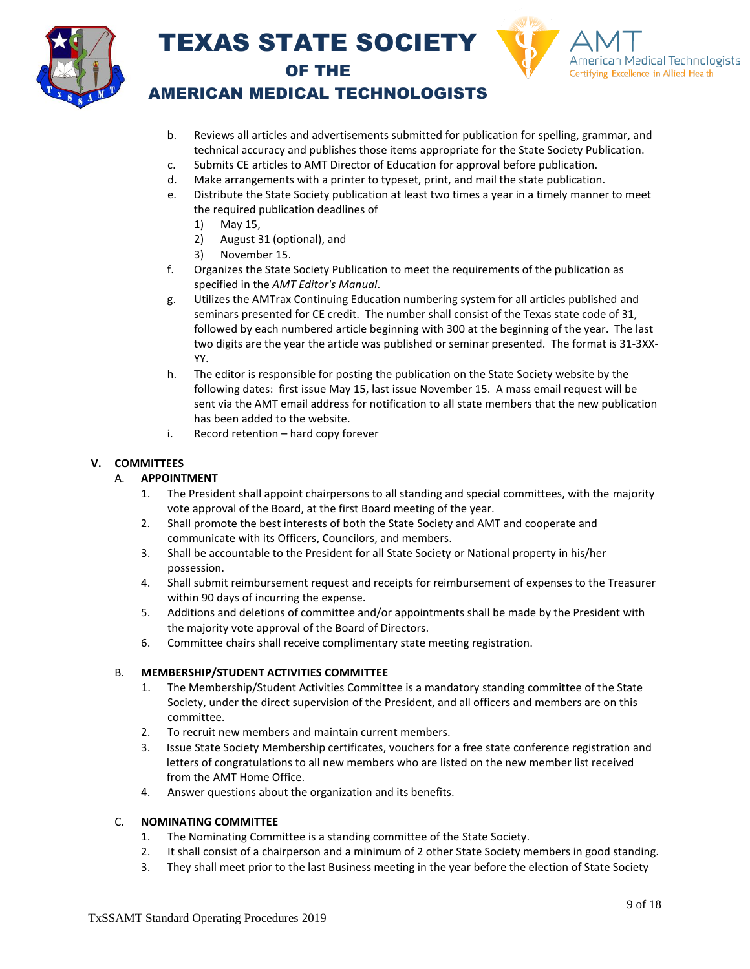



### AMERICAN MEDICAL TECHNOLOGISTS

- b. Reviews all articles and advertisements submitted for publication for spelling, grammar, and technical accuracy and publishes those items appropriate for the State Society Publication.
- c. Submits CE articles to AMT Director of Education for approval before publication.
- d. Make arrangements with a printer to typeset, print, and mail the state publication.
- e. Distribute the State Society publication at least two times a year in a timely manner to meet the required publication deadlines of
	- 1) May 15,
	- 2) August 31 (optional), and
	- 3) November 15.
- f. Organizes the State Society Publication to meet the requirements of the publication as specified in the *AMT Editor's Manual*.
- g. Utilizes the AMTrax Continuing Education numbering system for all articles published and seminars presented for CE credit. The number shall consist of the Texas state code of 31, followed by each numbered article beginning with 300 at the beginning of the year. The last two digits are the year the article was published or seminar presented. The format is 31-3XX-YY.
- h. The editor is responsible for posting the publication on the State Society website by the following dates: first issue May 15, last issue November 15. A mass email request will be sent via the AMT email address for notification to all state members that the new publication has been added to the website.
- i. Record retention hard copy forever

### **V. COMMITTEES**

### A. **APPOINTMENT**

- 1. The President shall appoint chairpersons to all standing and special committees, with the majority vote approval of the Board, at the first Board meeting of the year.
- 2. Shall promote the best interests of both the State Society and AMT and cooperate and communicate with its Officers, Councilors, and members.
- 3. Shall be accountable to the President for all State Society or National property in his/her possession.
- 4. Shall submit reimbursement request and receipts for reimbursement of expenses to the Treasurer within 90 days of incurring the expense.
- 5. Additions and deletions of committee and/or appointments shall be made by the President with the majority vote approval of the Board of Directors.
- 6. Committee chairs shall receive complimentary state meeting registration.

#### B. **MEMBERSHIP/STUDENT ACTIVITIES COMMITTEE**

- 1. The Membership/Student Activities Committee is a mandatory standing committee of the State Society, under the direct supervision of the President, and all officers and members are on this committee.
- 2. To recruit new members and maintain current members.
- 3. Issue State Society Membership certificates, vouchers for a free state conference registration and letters of congratulations to all new members who are listed on the new member list received from the AMT Home Office.
- 4. Answer questions about the organization and its benefits.

### C. **NOMINATING COMMITTEE**

- 1. The Nominating Committee is a standing committee of the State Society.
- 2. It shall consist of a chairperson and a minimum of 2 other State Society members in good standing.
- 3. They shall meet prior to the last Business meeting in the year before the election of State Society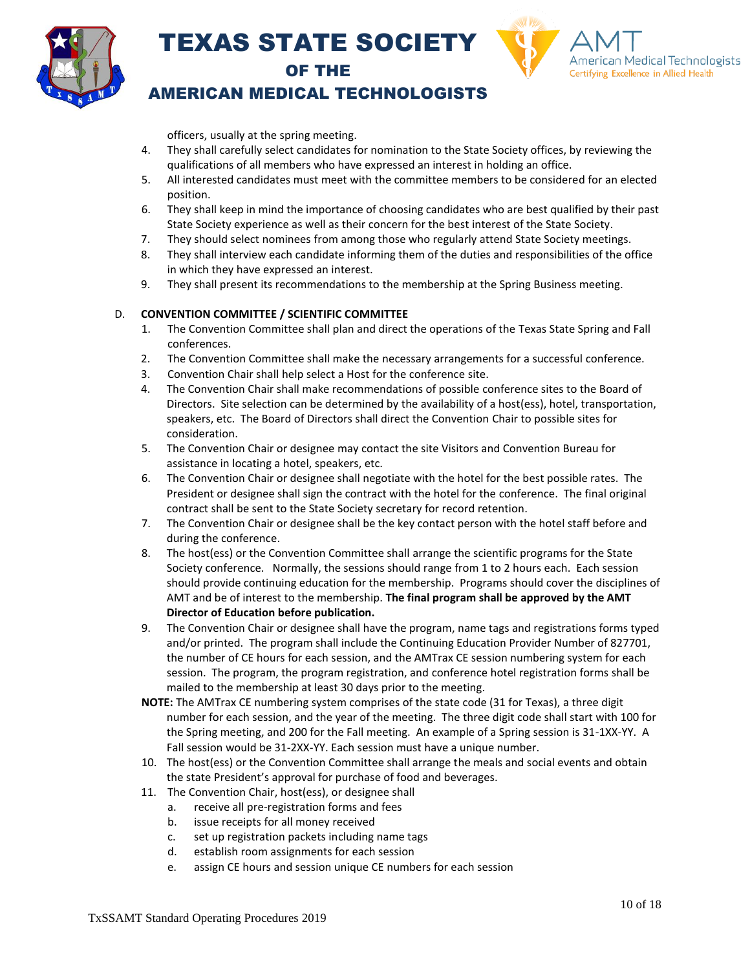



### AMERICAN MEDICAL TECHNOLOGISTS

officers, usually at the spring meeting.

- 4. They shall carefully select candidates for nomination to the State Society offices, by reviewing the qualifications of all members who have expressed an interest in holding an office.
- 5. All interested candidates must meet with the committee members to be considered for an elected position.
- 6. They shall keep in mind the importance of choosing candidates who are best qualified by their past State Society experience as well as their concern for the best interest of the State Society.
- 7. They should select nominees from among those who regularly attend State Society meetings.
- 8. They shall interview each candidate informing them of the duties and responsibilities of the office in which they have expressed an interest.
- 9. They shall present its recommendations to the membership at the Spring Business meeting.

### D. **CONVENTION COMMITTEE / SCIENTIFIC COMMITTEE**

- 1. The Convention Committee shall plan and direct the operations of the Texas State Spring and Fall conferences.
- 2. The Convention Committee shall make the necessary arrangements for a successful conference.
- 3. Convention Chair shall help select a Host for the conference site.
- 4. The Convention Chair shall make recommendations of possible conference sites to the Board of Directors. Site selection can be determined by the availability of a host(ess), hotel, transportation, speakers, etc. The Board of Directors shall direct the Convention Chair to possible sites for consideration.
- 5. The Convention Chair or designee may contact the site Visitors and Convention Bureau for assistance in locating a hotel, speakers, etc.
- 6. The Convention Chair or designee shall negotiate with the hotel for the best possible rates. The President or designee shall sign the contract with the hotel for the conference. The final original contract shall be sent to the State Society secretary for record retention.
- 7. The Convention Chair or designee shall be the key contact person with the hotel staff before and during the conference.
- 8. The host(ess) or the Convention Committee shall arrange the scientific programs for the State Society conference. Normally, the sessions should range from 1 to 2 hours each. Each session should provide continuing education for the membership. Programs should cover the disciplines of AMT and be of interest to the membership. **The final program shall be approved by the AMT Director of Education before publication.**
- 9. The Convention Chair or designee shall have the program, name tags and registrations forms typed and/or printed. The program shall include the Continuing Education Provider Number of 827701, the number of CE hours for each session, and the AMTrax CE session numbering system for each session. The program, the program registration, and conference hotel registration forms shall be mailed to the membership at least 30 days prior to the meeting.
- **NOTE:** The AMTrax CE numbering system comprises of the state code (31 for Texas), a three digit number for each session, and the year of the meeting. The three digit code shall start with 100 for the Spring meeting, and 200 for the Fall meeting. An example of a Spring session is 31-1XX-YY. A Fall session would be 31-2XX-YY. Each session must have a unique number.
- 10. The host(ess) or the Convention Committee shall arrange the meals and social events and obtain the state President's approval for purchase of food and beverages.
- 11. The Convention Chair, host(ess), or designee shall
	- a. receive all pre-registration forms and fees
	- b. issue receipts for all money received
	- c. set up registration packets including name tags
	- d. establish room assignments for each session
	- e. assign CE hours and session unique CE numbers for each session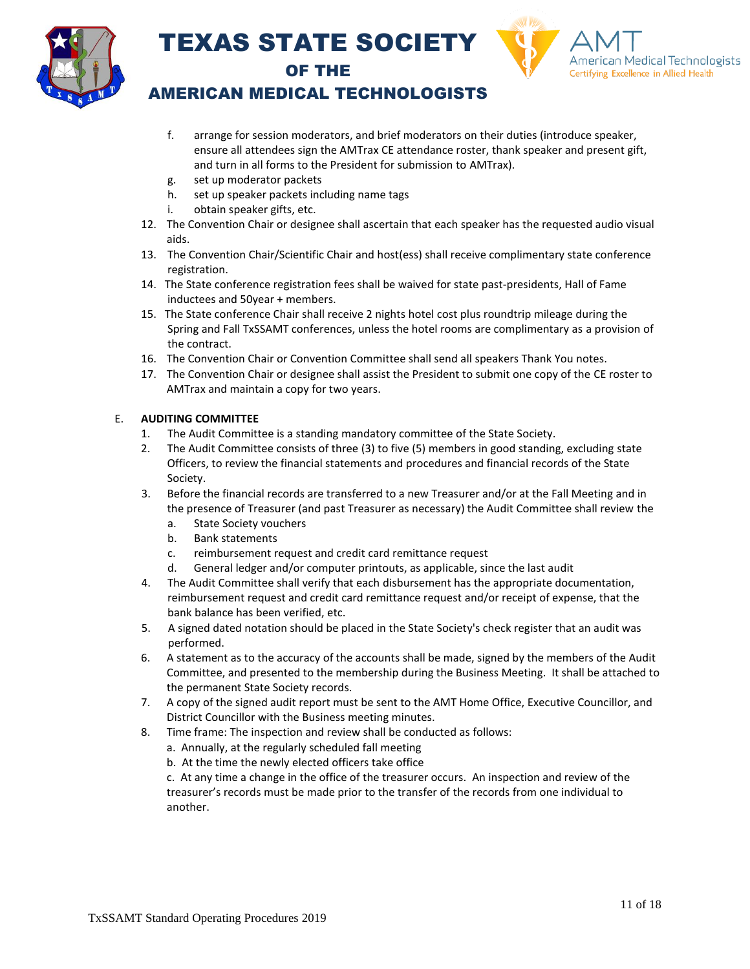



### AMERICAN MEDICAL TECHNOLOGISTS

- f. arrange for session moderators, and brief moderators on their duties (introduce speaker, ensure all attendees sign the AMTrax CE attendance roster, thank speaker and present gift, and turn in all forms to the President for submission to AMTrax).
- g. set up moderator packets
- h. set up speaker packets including name tags
- i. obtain speaker gifts, etc.
- 12. The Convention Chair or designee shall ascertain that each speaker has the requested audio visual aids.
- 13. The Convention Chair/Scientific Chair and host(ess) shall receive complimentary state conference registration.
- 14. The State conference registration fees shall be waived for state past-presidents, Hall of Fame inductees and 50year + members.
- 15. The State conference Chair shall receive 2 nights hotel cost plus roundtrip mileage during the Spring and Fall TxSSAMT conferences, unless the hotel rooms are complimentary as a provision of the contract.
- 16. The Convention Chair or Convention Committee shall send all speakers Thank You notes.
- 17. The Convention Chair or designee shall assist the President to submit one copy of the CE roster to AMTrax and maintain a copy for two years.

### E. **AUDITING COMMITTEE**

- 1. The Audit Committee is a standing mandatory committee of the State Society.
- 2. The Audit Committee consists of three (3) to five (5) members in good standing, excluding state Officers, to review the financial statements and procedures and financial records of the State Society.
- 3. Before the financial records are transferred to a new Treasurer and/or at the Fall Meeting and in the presence of Treasurer (and past Treasurer as necessary) the Audit Committee shall review the
	- a. State Society vouchers
	- b. Bank statements
	- c. reimbursement request and credit card remittance request
	- d. General ledger and/or computer printouts, as applicable, since the last audit
- 4. The Audit Committee shall verify that each disbursement has the appropriate documentation, reimbursement request and credit card remittance request and/or receipt of expense, that the bank balance has been verified, etc.
- 5. A signed dated notation should be placed in the State Society's check register that an audit was performed.
- 6. A statement as to the accuracy of the accounts shall be made, signed by the members of the Audit Committee, and presented to the membership during the Business Meeting. It shall be attached to the permanent State Society records.
- 7. A copy of the signed audit report must be sent to the AMT Home Office, Executive Councillor, and District Councillor with the Business meeting minutes.
- 8. Time frame: The inspection and review shall be conducted as follows:
	- a. Annually, at the regularly scheduled fall meeting
	- b. At the time the newly elected officers take office

c. At any time a change in the office of the treasurer occurs. An inspection and review of the treasurer's records must be made prior to the transfer of the records from one individual to another.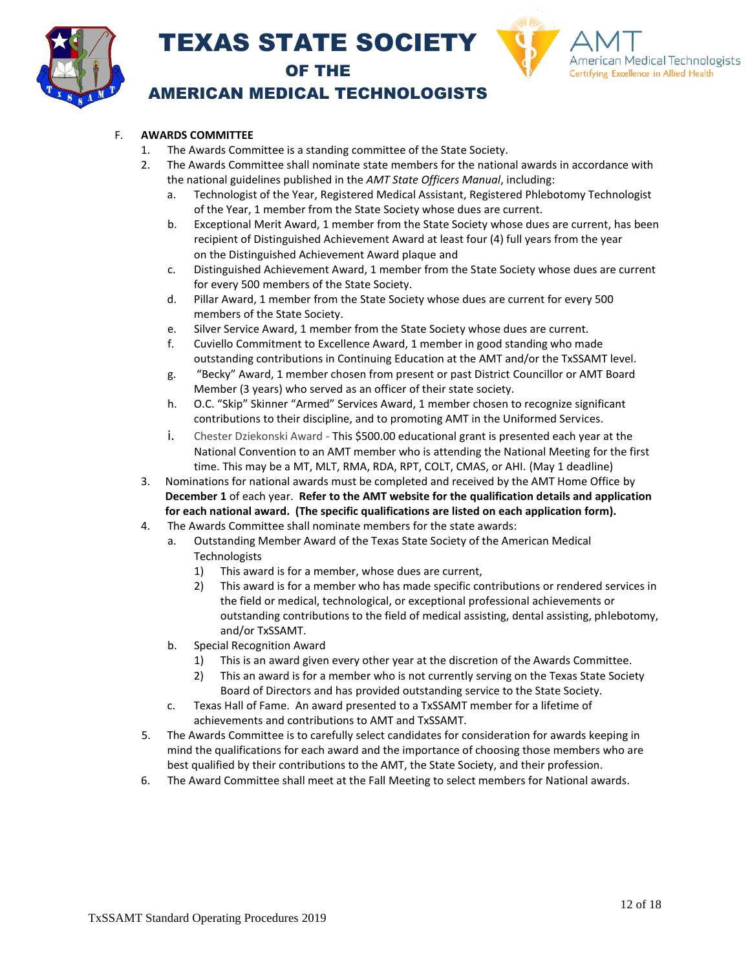



### AMERICAN MEDICAL TECHNOLOGISTS

### F. **AWARDS COMMITTEE**

- 1. The Awards Committee is a standing committee of the State Society.
- 2. The Awards Committee shall nominate state members for the national awards in accordance with the national guidelines published in the *AMT State Officers Manual*, including:
	- a. Technologist of the Year, Registered Medical Assistant, Registered Phlebotomy Technologist of the Year, 1 member from the State Society whose dues are current.
	- b. Exceptional Merit Award, 1 member from the State Society whose dues are current, has been recipient of Distinguished Achievement Award at least four (4) full years from the year on the Distinguished Achievement Award plaque and
	- c. Distinguished Achievement Award, 1 member from the State Society whose dues are current for every 500 members of the State Society.
	- d. Pillar Award, 1 member from the State Society whose dues are current for every 500 members of the State Society.
	- e. Silver Service Award, 1 member from the State Society whose dues are current.
	- f. Cuviello Commitment to Excellence Award, 1 member in good standing who made outstanding contributions in Continuing Education at the AMT and/or the TxSSAMT level.
	- g. "Becky" Award, 1 member chosen from present or past District Councillor or AMT Board Member (3 years) who served as an officer of their state society.
	- h. O.C. "Skip" Skinner "Armed" Services Award, 1 member chosen to recognize significant contributions to their discipline, and to promoting AMT in the Uniformed Services.
	- i. Chester Dziekonski Award This \$500.00 educational grant is presented each year at the National Convention to an AMT member who is attending the National Meeting for the first time. This may be a MT, MLT, RMA, RDA, RPT, COLT, CMAS, or AHI. (May 1 deadline)
- 3. Nominations for national awards must be completed and received by the AMT Home Office by **December 1** of each year. **Refer to the AMT website for the qualification details and application for each national award. (The specific qualifications are listed on each application form).**
- 4. The Awards Committee shall nominate members for the state awards:
	- a. Outstanding Member Award of the Texas State Society of the American Medical **Technologists** 
		- 1) This award is for a member, whose dues are current,
		- 2) This award is for a member who has made specific contributions or rendered services in the field or medical, technological, or exceptional professional achievements or outstanding contributions to the field of medical assisting, dental assisting, phlebotomy, and/or TxSSAMT.
	- b. Special Recognition Award
		- 1) This is an award given every other year at the discretion of the Awards Committee.
		- 2) This an award is for a member who is not currently serving on the Texas State Society Board of Directors and has provided outstanding service to the State Society.
	- c. Texas Hall of Fame. An award presented to a TxSSAMT member for a lifetime of achievements and contributions to AMT and TxSSAMT.
- 5. The Awards Committee is to carefully select candidates for consideration for awards keeping in mind the qualifications for each award and the importance of choosing those members who are best qualified by their contributions to the AMT, the State Society, and their profession.
- 6. The Award Committee shall meet at the Fall Meeting to select members for National awards.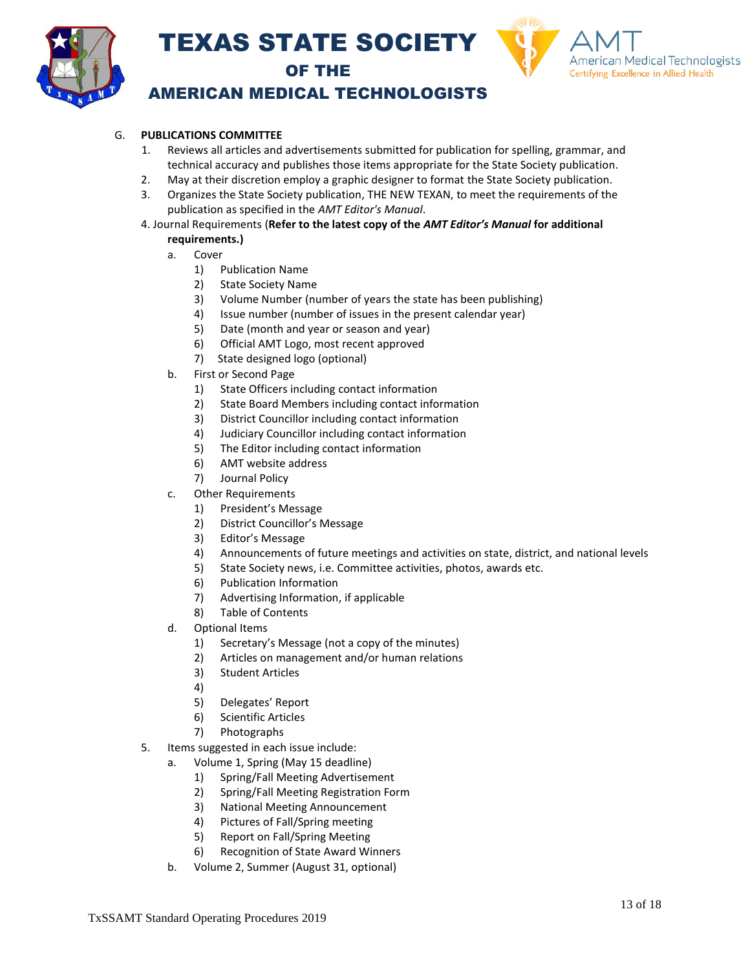



### AMERICAN MEDICAL TECHNOLOGISTS

### G. **PUBLICATIONS COMMITTEE**

- 1. Reviews all articles and advertisements submitted for publication for spelling, grammar, and technical accuracy and publishes those items appropriate for the State Society publication.
- 2. May at their discretion employ a graphic designer to format the State Society publication.
- 3. Organizes the State Society publication, THE NEW TEXAN, to meet the requirements of the publication as specified in the *AMT Editor's Manual*.
- 4. Journal Requirements (**Refer to the latest copy of the** *AMT Editor's Manual* **for additional**

### **requirements.)**

- a. Cover
	- 1) Publication Name
	- 2) State Society Name
	- 3) Volume Number (number of years the state has been publishing)
	- 4) Issue number (number of issues in the present calendar year)
	- 5) Date (month and year or season and year)
	- 6) Official AMT Logo, most recent approved
	- 7) State designed logo (optional)
- b. First or Second Page
	- 1) State Officers including contact information
	- 2) State Board Members including contact information
	- 3) District Councillor including contact information
	- 4) Judiciary Councillor including contact information
	- 5) The Editor including contact information
	- 6) AMT website address
	- 7) Journal Policy
- c. Other Requirements
	- 1) President's Message
	- 2) District Councillor's Message
	- 3) Editor's Message
	- 4) Announcements of future meetings and activities on state, district, and national levels
	- 5) State Society news, i.e. Committee activities, photos, awards etc.
	- 6) Publication Information
	- 7) Advertising Information, if applicable
	- 8) Table of Contents
- d. Optional Items
	- 1) Secretary's Message (not a copy of the minutes)
	- 2) Articles on management and/or human relations
	- 3) Student Articles
	- 4)
	- 5) Delegates' Report
	- 6) Scientific Articles
	- 7) Photographs
- 5. Items suggested in each issue include:
	- a. Volume 1, Spring (May 15 deadline)
		- 1) Spring/Fall Meeting Advertisement
		- 2) Spring/Fall Meeting Registration Form
		- 3) National Meeting Announcement
		- 4) Pictures of Fall/Spring meeting
		- 5) Report on Fall/Spring Meeting
		- 6) Recognition of State Award Winners
	- b. Volume 2, Summer (August 31, optional)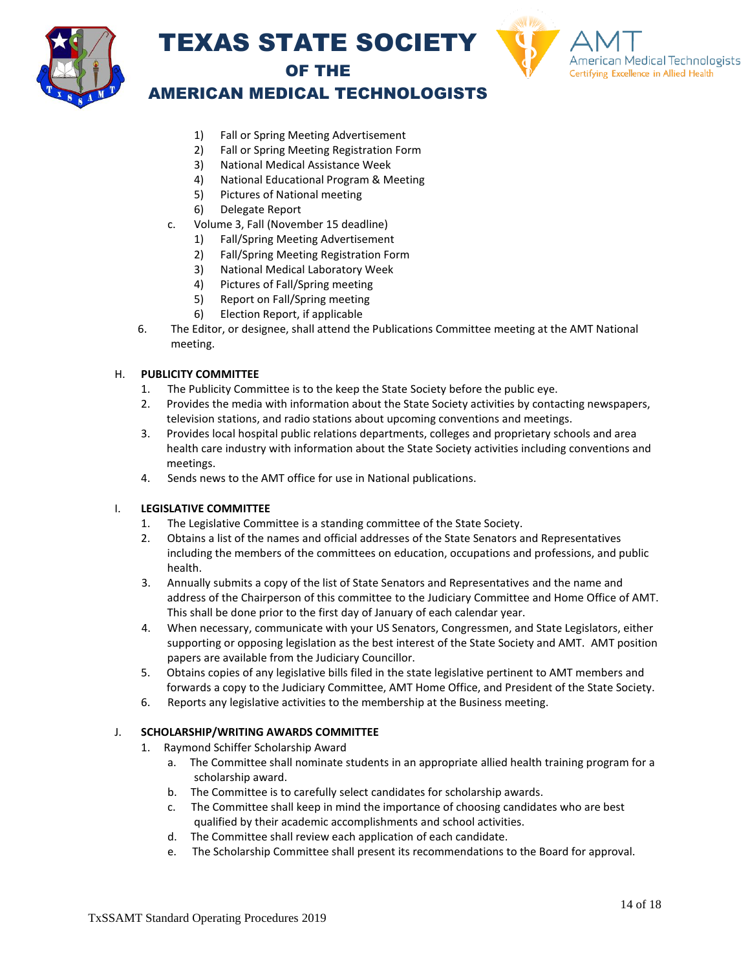



### AMERICAN MEDICAL TECHNOLOGISTS

- 1) Fall or Spring Meeting Advertisement
- 2) Fall or Spring Meeting Registration Form
- 3) National Medical Assistance Week
- 4) National Educational Program & Meeting
- 5) Pictures of National meeting
- 6) Delegate Report
- c. Volume 3, Fall (November 15 deadline)
	- 1) Fall/Spring Meeting Advertisement
	- 2) Fall/Spring Meeting Registration Form
	- 3) National Medical Laboratory Week
	- 4) Pictures of Fall/Spring meeting
	- 5) Report on Fall/Spring meeting
	- 6) Election Report, if applicable
- 6. The Editor, or designee, shall attend the Publications Committee meeting at the AMT National meeting.

### H. **PUBLICITY COMMITTEE**

- 1. The Publicity Committee is to the keep the State Society before the public eye.
- 2. Provides the media with information about the State Society activities by contacting newspapers, television stations, and radio stations about upcoming conventions and meetings.
- 3. Provides local hospital public relations departments, colleges and proprietary schools and area health care industry with information about the State Society activities including conventions and meetings.
- 4. Sends news to the AMT office for use in National publications.

#### I. **LEGISLATIVE COMMITTEE**

- 1. The Legislative Committee is a standing committee of the State Society.
- 2. Obtains a list of the names and official addresses of the State Senators and Representatives including the members of the committees on education, occupations and professions, and public health.
- 3. Annually submits a copy of the list of State Senators and Representatives and the name and address of the Chairperson of this committee to the Judiciary Committee and Home Office of AMT. This shall be done prior to the first day of January of each calendar year.
- 4. When necessary, communicate with your US Senators, Congressmen, and State Legislators, either supporting or opposing legislation as the best interest of the State Society and AMT. AMT position papers are available from the Judiciary Councillor.
- 5. Obtains copies of any legislative bills filed in the state legislative pertinent to AMT members and forwards a copy to the Judiciary Committee, AMT Home Office, and President of the State Society.
- 6. Reports any legislative activities to the membership at the Business meeting.

#### J. **SCHOLARSHIP/WRITING AWARDS COMMITTEE**

- 1. Raymond Schiffer Scholarship Award
	- a. The Committee shall nominate students in an appropriate allied health training program for a scholarship award.
	- b. The Committee is to carefully select candidates for scholarship awards.
	- c. The Committee shall keep in mind the importance of choosing candidates who are best qualified by their academic accomplishments and school activities.
	- d. The Committee shall review each application of each candidate.
	- e. The Scholarship Committee shall present its recommendations to the Board for approval.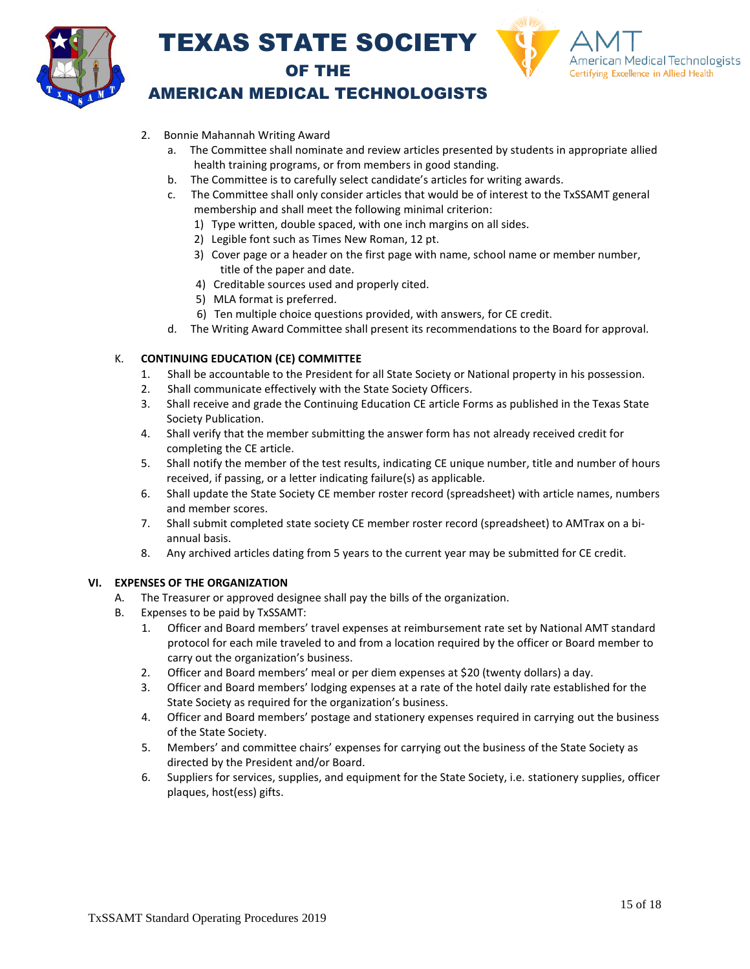



### AMERICAN MEDICAL TECHNOLOGISTS

- 2. Bonnie Mahannah Writing Award
	- a. The Committee shall nominate and review articles presented by students in appropriate allied health training programs, or from members in good standing.
	- b. The Committee is to carefully select candidate's articles for writing awards.
	- c. The Committee shall only consider articles that would be of interest to the TxSSAMT general membership and shall meet the following minimal criterion:
		- 1) Type written, double spaced, with one inch margins on all sides.
		- 2) Legible font such as Times New Roman, 12 pt.
		- 3) Cover page or a header on the first page with name, school name or member number, title of the paper and date.
		- 4) Creditable sources used and properly cited.
		- 5) MLA format is preferred.
		- 6) Ten multiple choice questions provided, with answers, for CE credit.
	- d. The Writing Award Committee shall present its recommendations to the Board for approval.

### K. **CONTINUING EDUCATION (CE) COMMITTEE**

- 1. Shall be accountable to the President for all State Society or National property in his possession.
- 2. Shall communicate effectively with the State Society Officers.
- 3. Shall receive and grade the Continuing Education CE article Forms as published in the Texas State Society Publication.
- 4. Shall verify that the member submitting the answer form has not already received credit for completing the CE article.
- 5. Shall notify the member of the test results, indicating CE unique number, title and number of hours received, if passing, or a letter indicating failure(s) as applicable.
- 6. Shall update the State Society CE member roster record (spreadsheet) with article names, numbers and member scores.
- 7. Shall submit completed state society CE member roster record (spreadsheet) to AMTrax on a biannual basis.
- 8. Any archived articles dating from 5 years to the current year may be submitted for CE credit.

#### **VI. EXPENSES OF THE ORGANIZATION**

- A. The Treasurer or approved designee shall pay the bills of the organization.
- B. Expenses to be paid by TxSSAMT:
	- 1. Officer and Board members' travel expenses at reimbursement rate set by National AMT standard protocol for each mile traveled to and from a location required by the officer or Board member to carry out the organization's business.
	- 2. Officer and Board members' meal or per diem expenses at \$20 (twenty dollars) a day.
	- 3. Officer and Board members' lodging expenses at a rate of the hotel daily rate established for the State Society as required for the organization's business.
	- 4. Officer and Board members' postage and stationery expenses required in carrying out the business of the State Society.
	- 5. Members' and committee chairs' expenses for carrying out the business of the State Society as directed by the President and/or Board.
	- 6. Suppliers for services, supplies, and equipment for the State Society, i.e. stationery supplies, officer plaques, host(ess) gifts.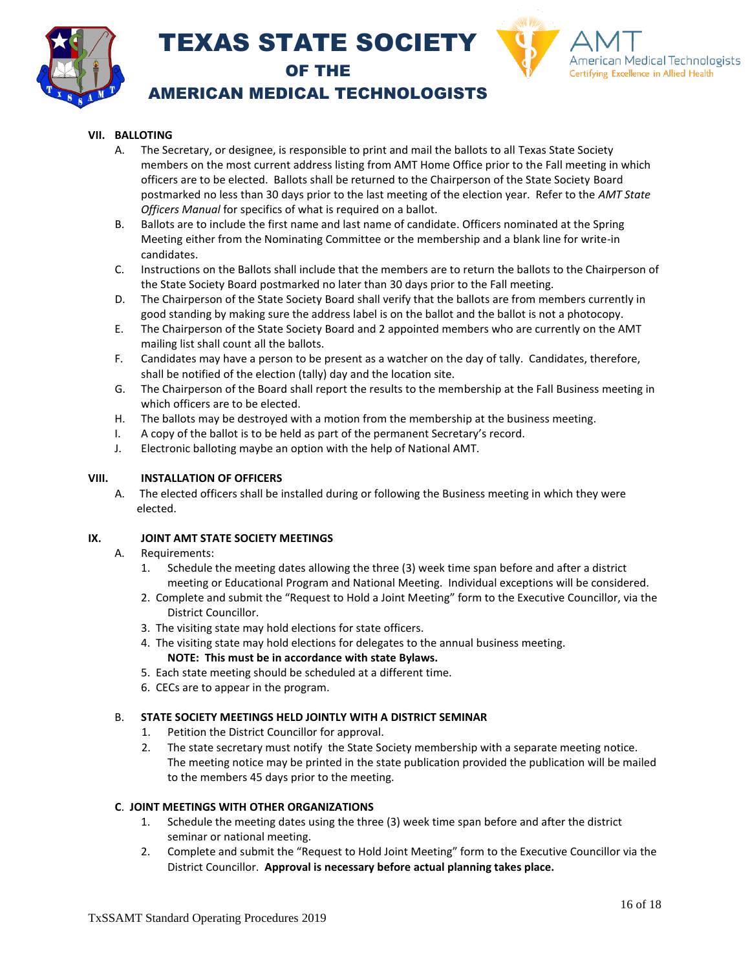



### AMERICAN MEDICAL TECHNOLOGISTS

### **VII. BALLOTING**

- A. The Secretary, or designee, is responsible to print and mail the ballots to all Texas State Society members on the most current address listing from AMT Home Office prior to the Fall meeting in which officers are to be elected. Ballots shall be returned to the Chairperson of the State Society Board postmarked no less than 30 days prior to the last meeting of the election year. Refer to the *AMT State Officers Manual* for specifics of what is required on a ballot.
- B. Ballots are to include the first name and last name of candidate. Officers nominated at the Spring Meeting either from the Nominating Committee or the membership and a blank line for write-in candidates.
- C. Instructions on the Ballots shall include that the members are to return the ballots to the Chairperson of the State Society Board postmarked no later than 30 days prior to the Fall meeting.
- D. The Chairperson of the State Society Board shall verify that the ballots are from members currently in good standing by making sure the address label is on the ballot and the ballot is not a photocopy.
- E. The Chairperson of the State Society Board and 2 appointed members who are currently on the AMT mailing list shall count all the ballots.
- F. Candidates may have a person to be present as a watcher on the day of tally. Candidates, therefore, shall be notified of the election (tally) day and the location site.
- G. The Chairperson of the Board shall report the results to the membership at the Fall Business meeting in which officers are to be elected.
- H. The ballots may be destroyed with a motion from the membership at the business meeting.
- I. A copy of the ballot is to be held as part of the permanent Secretary's record.
- J. Electronic balloting maybe an option with the help of National AMT.

#### **VIII. INSTALLATION OF OFFICERS**

A. The elected officers shall be installed during or following the Business meeting in which they were elected.

#### **IX. JOINT AMT STATE SOCIETY MEETINGS**

- A. Requirements:
	- 1. Schedule the meeting dates allowing the three (3) week time span before and after a district meeting or Educational Program and National Meeting. Individual exceptions will be considered.
	- 2. Complete and submit the "Request to Hold a Joint Meeting" form to the Executive Councillor, via the District Councillor.
	- 3. The visiting state may hold elections for state officers.
	- 4. The visiting state may hold elections for delegates to the annual business meeting. **NOTE: This must be in accordance with state Bylaws.**
	- 5. Each state meeting should be scheduled at a different time.
	- 6. CECs are to appear in the program.

#### B. **STATE SOCIETY MEETINGS HELD JOINTLY WITH A DISTRICT SEMINAR**

- 1. Petition the District Councillor for approval.
- 2. The state secretary must notify the State Society membership with a separate meeting notice. The meeting notice may be printed in the state publication provided the publication will be mailed to the members 45 days prior to the meeting.

#### **C**. **JOINT MEETINGS WITH OTHER ORGANIZATIONS**

- 1. Schedule the meeting dates using the three (3) week time span before and after the district seminar or national meeting.
- 2. Complete and submit the "Request to Hold Joint Meeting" form to the Executive Councillor via the District Councillor. **Approval is necessary before actual planning takes place.**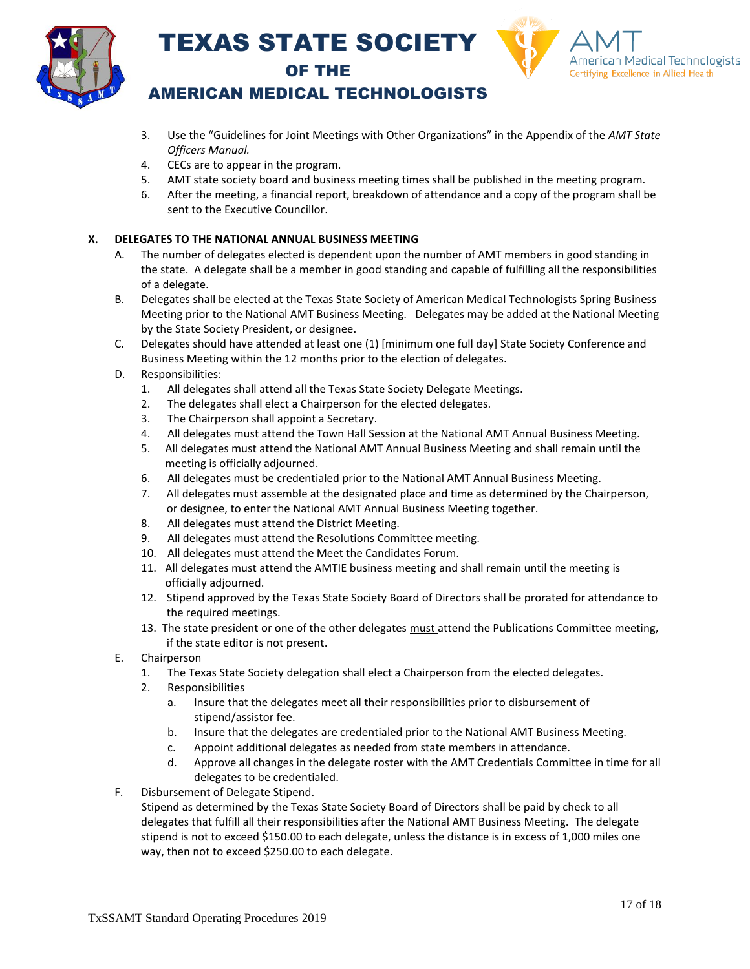



### AMERICAN MEDICAL TECHNOLOGISTS

- 3. Use the "Guidelines for Joint Meetings with Other Organizations" in the Appendix of the *AMT State Officers Manual.*
- 4. CECs are to appear in the program.
- 5. AMT state society board and business meeting times shall be published in the meeting program.
- 6. After the meeting, a financial report, breakdown of attendance and a copy of the program shall be sent to the Executive Councillor.

### **X. DELEGATES TO THE NATIONAL ANNUAL BUSINESS MEETING**

- A. The number of delegates elected is dependent upon the number of AMT members in good standing in the state. A delegate shall be a member in good standing and capable of fulfilling all the responsibilities of a delegate.
- B. Delegates shall be elected at the Texas State Society of American Medical Technologists Spring Business Meeting prior to the National AMT Business Meeting. Delegates may be added at the National Meeting by the State Society President, or designee.
- C. Delegates should have attended at least one (1) [minimum one full day] State Society Conference and Business Meeting within the 12 months prior to the election of delegates.
- D. Responsibilities:
	- 1. All delegates shall attend all the Texas State Society Delegate Meetings.
	- 2. The delegates shall elect a Chairperson for the elected delegates.
	- 3. The Chairperson shall appoint a Secretary.
	- 4. All delegates must attend the Town Hall Session at the National AMT Annual Business Meeting.
	- 5. All delegates must attend the National AMT Annual Business Meeting and shall remain until the meeting is officially adjourned.
	- 6. All delegates must be credentialed prior to the National AMT Annual Business Meeting.
	- 7. All delegates must assemble at the designated place and time as determined by the Chairperson, or designee, to enter the National AMT Annual Business Meeting together.
	- 8. All delegates must attend the District Meeting.
	- 9. All delegates must attend the Resolutions Committee meeting.
	- 10. All delegates must attend the Meet the Candidates Forum.
	- 11. All delegates must attend the AMTIE business meeting and shall remain until the meeting is officially adjourned.
	- 12. Stipend approved by the Texas State Society Board of Directors shall be prorated for attendance to the required meetings.
	- 13. The state president or one of the other delegates must attend the Publications Committee meeting, if the state editor is not present.
- E. Chairperson
	- 1. The Texas State Society delegation shall elect a Chairperson from the elected delegates.
	- 2. Responsibilities
		- a. Insure that the delegates meet all their responsibilities prior to disbursement of stipend/assistor fee.
		- b. Insure that the delegates are credentialed prior to the National AMT Business Meeting.
		- c. Appoint additional delegates as needed from state members in attendance.
		- d. Approve all changes in the delegate roster with the AMT Credentials Committee in time for all delegates to be credentialed.
- F. Disbursement of Delegate Stipend.

Stipend as determined by the Texas State Society Board of Directors shall be paid by check to all delegates that fulfill all their responsibilities after the National AMT Business Meeting. The delegate stipend is not to exceed \$150.00 to each delegate, unless the distance is in excess of 1,000 miles one way, then not to exceed \$250.00 to each delegate.